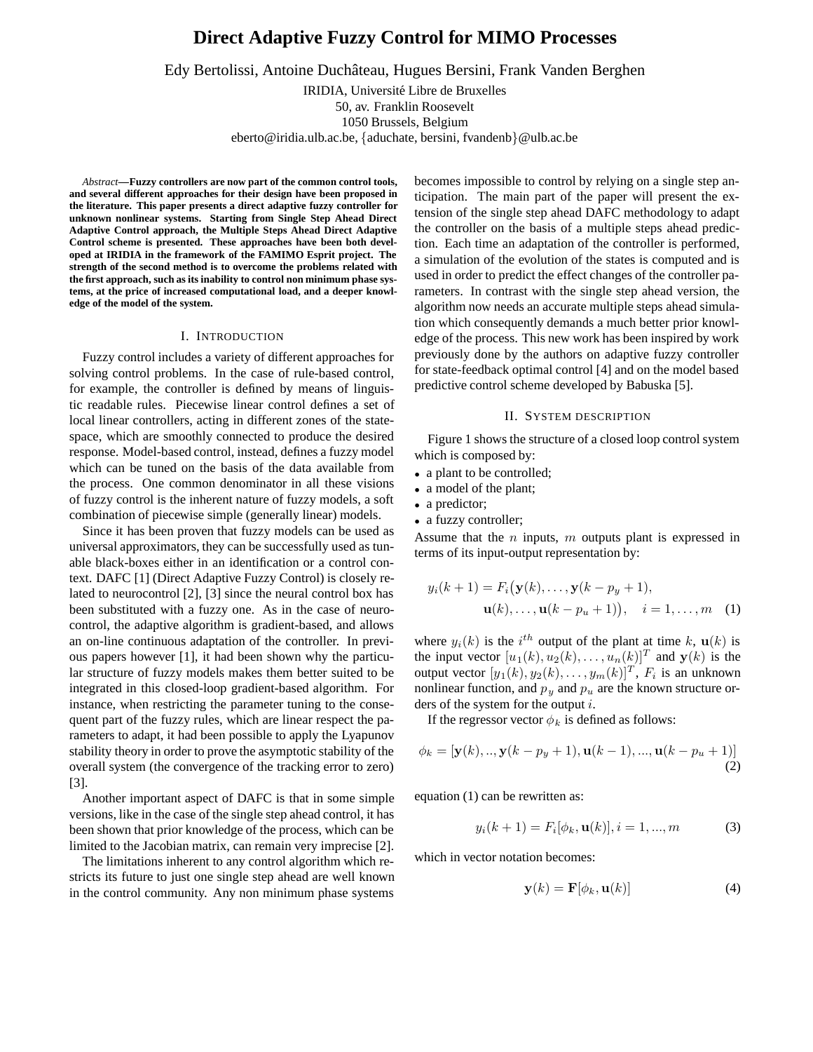# **Direct Adaptive Fuzzy Control for MIMO Processes**

Edy Bertolissi, Antoine Duchâteau, Hugues Bersini, Frank Vanden Berghen

IRIDIA, Université Libre de Bruxelles

50, av. Franklin Roosevelt

1050 Brussels, Belgium

eberto@iridia.ulb.ac.be, {aduchate, bersini, fvandenb}@ulb.ac.be

*Abstract***—Fuzzy controllers are now part of the common control tools, and several different approaches for their design have been proposed in the literature. This paper presents a direct adaptive fuzzy controller for unknown nonlinear systems. Starting from Single Step Ahead Direct Adaptive Control approach, the Multiple Steps Ahead Direct Adaptive Control scheme is presented. These approaches have been both developed at IRIDIA in the framework of the FAMIMO Esprit project. The strength of the second method is to overcome the problems related with the first approach, such as its inability to control non minimum phase systems, at the price of increased computational load, and a deeper knowledge of the model of the system.**

# I. INTRODUCTION

Fuzzy control includes a variety of different approaches for solving control problems. In the case of rule-based control, for example, the controller is defined by means of linguistic readable rules. Piecewise linear control defines a set of local linear controllers, acting in different zones of the statespace, which are smoothly connected to produce the desired response. Model-based control, instead, defines a fuzzy model which can be tuned on the basis of the data available from the process. One common denominator in all these visions of fuzzy control is the inherent nature of fuzzy models, a soft combination of piecewise simple (generally linear) models.

Since it has been proven that fuzzy models can be used as universal approximators, they can be successfully used as tunable black-boxes either in an identification or a control context. DAFC [1] (Direct Adaptive Fuzzy Control) is closely related to neurocontrol [2], [3] since the neural control box has been substituted with a fuzzy one. As in the case of neurocontrol, the adaptive algorithm is gradient-based, and allows an on-line continuous adaptation of the controller. In previous papers however [1], it had been shown why the particular structure of fuzzy models makes them better suited to be integrated in this closed-loop gradient-based algorithm. For instance, when restricting the parameter tuning to the consequent part of the fuzzy rules, which are linear respect the parameters to adapt, it had been possible to apply the Lyapunov stability theory in order to prove the asymptotic stability of the overall system (the convergence of the tracking error to zero) [3].

Another important aspect of DAFC is that in some simple versions, like in the case of the single step ahead control, it has been shown that prior knowledge of the process, which can be limited to the Jacobian matrix, can remain very imprecise [2].

The limitations inherent to any control algorithm which restricts its future to just one single step ahead are well known in the control community. Any non minimum phase systems

becomes impossible to control by relying on a single step anticipation. The main part of the paper will present the extension of the single step ahead DAFC methodology to adapt the controller on the basis of a multiple steps ahead prediction. Each time an adaptation of the controller is performed, a simulation of the evolution of the states is computed and is used in order to predict the effect changes of the controller parameters. In contrast with the single step ahead version, the algorithm now needs an accurate multiple steps ahead simulation which consequently demands a much better prior knowledge of the process. This new work has been inspired by work previously done by the authors on adaptive fuzzy controller for state-feedback optimal control [4] and on the model based predictive control scheme developed by Babuska [5].

## II. SYSTEM DESCRIPTION

Figure 1 shows the structure of a closed loop control system which is composed by:

- a plant to be controlled;
- a model of the plant;
- a predictor;
- a fuzzy controller;

Assume that the  $n$  inputs,  $m$  outputs plant is expressed in terms of its input-output representation by:

$$
y_i(k+1) = F_i(\mathbf{y}(k),..., \mathbf{y}(k-p_y+1),\mathbf{u}(k),..., \mathbf{u}(k-p_u+1)), \quad i = 1,...,m \quad (1)
$$

where  $y_i(k)$  is the i<sup>th</sup> output of the plant at time k,  $\mathbf{u}(k)$  is the input vector  $[u_1(k), u_2(k),..., u_n(k)]^T$  and  $\mathbf{y}(k)$  is the output vector  $[y_1(k), y_2(k), \ldots, y_m(k)]^T$ ,  $F_i$  is an unknown nonlinear function, and  $p_u$  and  $p_u$  are the known structure orders of the system for the output  $i$ .

If the regressor vector  $\phi_k$  is defined as follows:

$$
\phi_k = [\mathbf{y}(k),..,\mathbf{y}(k-p_y+1),\mathbf{u}(k-1),...,\mathbf{u}(k-p_u+1)]
$$
\n(2)

equation (1) can be rewritten as:

$$
y_i(k+1) = F_i[\phi_k, \mathbf{u}(k)], i = 1, ..., m
$$
 (3)

which in vector notation becomes:

$$
\mathbf{y}(k) = \mathbf{F}[\phi_k, \mathbf{u}(k)] \tag{4}
$$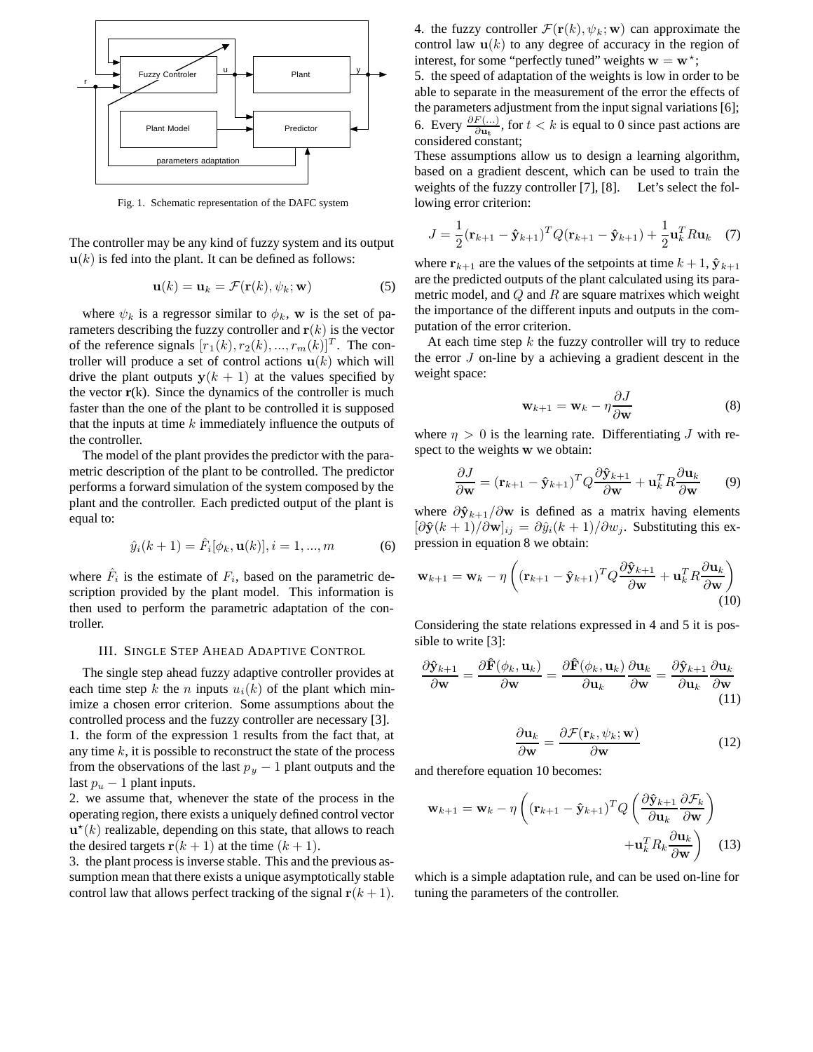

Fig. 1. Schematic representation of the DAFC system

The controller may be any kind of fuzzy system and its output  $\mathbf{u}(k)$  is fed into the plant. It can be defined as follows:

$$
\mathbf{u}(k) = \mathbf{u}_k = \mathcal{F}(\mathbf{r}(k), \psi_k; \mathbf{w}) \tag{5}
$$

where  $\psi_k$  is a regressor similar to  $\phi_k$ , **w** is the set of parameters describing the fuzzy controller and  $r(k)$  is the vector of the reference signals  $[r_1(k), r_2(k), ..., r_m(k)]^T$ . The controller will produce a set of control actions  $\mathbf{u}(k)$  which will drive the plant outputs  $y(k + 1)$  at the values specified by the vector  $r(k)$ . Since the dynamics of the controller is much faster than the one of the plant to be controlled it is supposed that the inputs at time  $k$  immediately influence the outputs of the controller.

The model of the plant provides the predictor with the parametric description of the plant to be controlled. The predictor performs a forward simulation of the system composed by the plant and the controller. Each predicted output of the plant is equal to:

$$
\hat{y}_i(k+1) = \hat{F}_i[\phi_k, \mathbf{u}(k)], i = 1, ..., m
$$
 (6)

where  $\hat{F}_i$  is the estimate of  $F_i$ , based on the parametric description provided by the plant model. This information is then used to perform the parametric adaptation of the controller.

# III. SINGLE STEP AHEAD ADAPTIVE CONTROL

The single step ahead fuzzy adaptive controller provides at each time step k the n inputs  $u_i(k)$  of the plant which minimize a chosen error criterion. Some assumptions about the controlled process and the fuzzy controller are necessary [3]. 1. the form of the expression 1 results from the fact that, at any time  $k$ , it is possible to reconstruct the state of the process from the observations of the last  $p_y - 1$  plant outputs and the last  $p_u - 1$  plant inputs.

2. we assume that, whenever the state of the process in the operating region, there exists a uniquely defined control vector  $\mathbf{u}^*(k)$  realizable, depending on this state, that allows to reach the desired targets  $\mathbf{r}(k+1)$  at the time  $(k+1)$ .

3. the plant process is inverse stable. This and the previous assumption mean that there exists a unique asymptotically stable control law that allows perfect tracking of the signal  $r(k + 1)$ . 4. the fuzzy controller  $\mathcal{F}(\mathbf{r}(k), \psi_k; \mathbf{w})$  can approximate the control law  $\mathbf{u}(k)$  to any degree of accuracy in the region of interest, for some "perfectly tuned" weights  $\mathbf{w} = \mathbf{w}^*$ ;

5. the speed of adaptation of the weights is low in order to be able to separate in the measurement of the error the effects of the parameters adjustment from the input signal variations [6]; 6. Every  $\frac{\partial F(...)}{\partial u_t}$ , for *t* < *k* is equal to 0 since past actions are considered constant;

These assumptions allow us to design a learning algorithm, based on a gradient descent, which can be used to train the weights of the fuzzy controller [7], [8]. Let's select the following error criterion:

$$
J = \frac{1}{2} (\mathbf{r}_{k+1} - \hat{\mathbf{y}}_{k+1})^T Q (\mathbf{r}_{k+1} - \hat{\mathbf{y}}_{k+1}) + \frac{1}{2} \mathbf{u}_k^T R \mathbf{u}_k \quad (7)
$$

where  $\mathbf{r}_{k+1}$  are the values of the setpoints at time  $k+1$ ,  $\hat{\mathbf{y}}_{k+1}$ are the predicted outputs of the plant calculated using its parametric model, and  $Q$  and  $R$  are square matrixes which weight the importance of the different inputs and outputs in the computation of the error criterion.

At each time step  $k$  the fuzzy controller will try to reduce the error  $J$  on-line by a achieving a gradient descent in the weight space:

$$
\mathbf{w}_{k+1} = \mathbf{w}_k - \eta \frac{\partial J}{\partial \mathbf{w}} \tag{8}
$$

where  $\eta > 0$  is the learning rate. Differentiating J with respect to the weights **w** we obtain:

$$
\frac{\partial J}{\partial \mathbf{w}} = (\mathbf{r}_{k+1} - \hat{\mathbf{y}}_{k+1})^T Q \frac{\partial \hat{\mathbf{y}}_{k+1}}{\partial \mathbf{w}} + \mathbf{u}_k^T R \frac{\partial \mathbf{u}_k}{\partial \mathbf{w}} \qquad (9)
$$

where  $\partial \hat{\mathbf{y}}_{k+1}/\partial \mathbf{w}$  is defined as a matrix having elements  $[\partial \hat{\mathbf{y}}(k+1)/\partial \mathbf{w}]_{ij} = \partial \hat{y}_i(k+1)/\partial w_j$ . Substituting this expression in equation 8 we obtain:

$$
\mathbf{w}_{k+1} = \mathbf{w}_k - \eta \left( (\mathbf{r}_{k+1} - \hat{\mathbf{y}}_{k+1})^T Q \frac{\partial \hat{\mathbf{y}}_{k+1}}{\partial \mathbf{w}} + \mathbf{u}_k^T R \frac{\partial \mathbf{u}_k}{\partial \mathbf{w}} \right)
$$
(10)

Considering the state relations expressed in 4 and 5 it is possible to write [3]:

$$
\frac{\partial \hat{\mathbf{y}}_{k+1}}{\partial \mathbf{w}} = \frac{\partial \hat{\mathbf{F}}(\phi_k, \mathbf{u}_k)}{\partial \mathbf{w}} = \frac{\partial \hat{\mathbf{F}}(\phi_k, \mathbf{u}_k)}{\partial \mathbf{u}_k} \frac{\partial \mathbf{u}_k}{\partial \mathbf{w}} = \frac{\partial \hat{\mathbf{y}}_{k+1}}{\partial \mathbf{u}_k} \frac{\partial \mathbf{u}_k}{\partial \mathbf{w}}
$$
(11)

$$
\frac{\partial \mathbf{u}_k}{\partial \mathbf{w}} = \frac{\partial \mathcal{F}(\mathbf{r}_k, \psi_k; \mathbf{w})}{\partial \mathbf{w}}
$$
(12)

and therefore equation 10 becomes:

$$
\mathbf{w}_{k+1} = \mathbf{w}_k - \eta \left( (\mathbf{r}_{k+1} - \hat{\mathbf{y}}_{k+1})^T Q \left( \frac{\partial \hat{\mathbf{y}}_{k+1}}{\partial \mathbf{u}_k} \frac{\partial \mathcal{F}_k}{\partial \mathbf{w}} \right) + \mathbf{u}_k^T R_k \frac{\partial \mathbf{u}_k}{\partial \mathbf{w}} \right)
$$
(13)

which is a simple adaptation rule, and can be used on-line for tuning the parameters of the controller.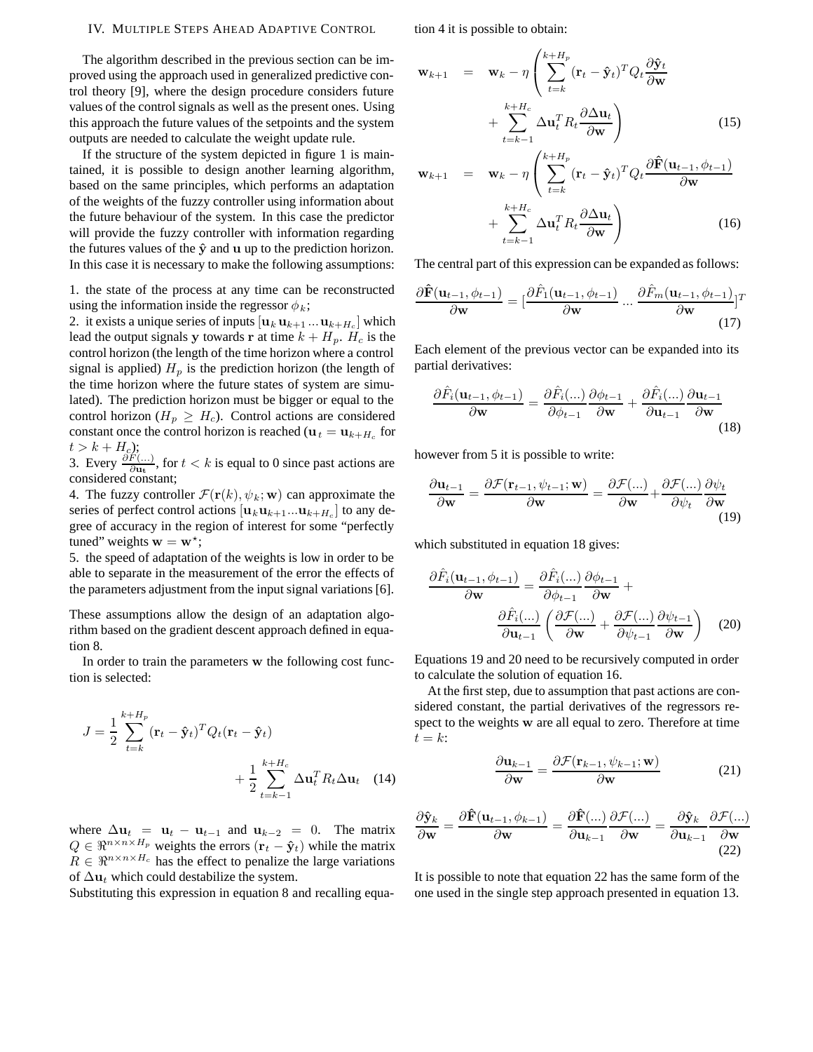## IV. MULTIPLE STEPS AHEAD ADAPTIVE CONTROL

The algorithm described in the previous section can be improved using the approach used in generalized predictive control theory [9], where the design procedure considers future values of the control signals as well as the present ones. Using this approach the future values of the setpoints and the system outputs are needed to calculate the weight update rule.

If the structure of the system depicted in figure 1 is maintained, it is possible to design another learning algorithm, based on the same principles, which performs an adaptation of the weights of the fuzzy controller using information about the future behaviour of the system. In this case the predictor will provide the fuzzy controller with information regarding the futures values of the  $\hat{y}$  and  $u$  up to the prediction horizon. In this case it is necessary to make the following assumptions:

1. the state of the process at any time can be reconstructed using the information inside the regressor  $\phi_k$ ;

2. it exists a unique series of inputs  $[\mathbf{u}_k \mathbf{u}_{k+1} \dots \mathbf{u}_{k+H_c}]$  which lead the output signals **y** towards **r** at time  $k + H_p$ .  $H_c$  is the control horizon (the length of the time horizon where a control signal is applied)  $H_p$  is the prediction horizon (the length of the time horizon where the future states of system are simulated). The prediction horizon must be bigger or equal to the control horizon ( $H_p \geq H_c$ ). Control actions are considered constant once the control horizon is reached ( $\mathbf{u}_t = \mathbf{u}_{k+H_c}$  for  $t > k + H_c$ );

3. Every  $\frac{\partial F(...)}{\partial u_t}$ , for  $t < k$  is equal to 0 since past actions are considered constant;

4. The fuzzy controller  $\mathcal{F}(\mathbf{r}(k), \psi_k; \mathbf{w})$  can approximate the series of perfect control actions  $[\mathbf{u}_k \mathbf{u}_{k+1} \dots \mathbf{u}_{k+H_c}]$  to any degree of accuracy in the region of interest for some "perfectly tuned" weights  $\mathbf{w} = \mathbf{w}^*$ ;

5. the speed of adaptation of the weights is low in order to be able to separate in the measurement of the error the effects of the parameters adjustment from the input signal variations [6].

These assumptions allow the design of an adaptation algorithm based on the gradient descent approach defined in equation 8.

In order to train the parameters **w** the following cost function is selected:

$$
J = \frac{1}{2} \sum_{t=k}^{k+H_p} (\mathbf{r}_t - \hat{\mathbf{y}}_t)^T Q_t (\mathbf{r}_t - \hat{\mathbf{y}}_t)
$$

$$
+ \frac{1}{2} \sum_{t=k-1}^{k+H_c} \Delta \mathbf{u}_t^T R_t \Delta \mathbf{u}_t \quad (14)
$$

where  $\Delta \mathbf{u}_t = \mathbf{u}_t - \mathbf{u}_{t-1}$  and  $\mathbf{u}_{k-2} = 0$ . The matrix  $Q \in \mathbb{R}^{n \times n \times H_p}$  weights the errors  $(\mathbf{r}_t - \hat{\mathbf{y}}_t)$  while the matrix  $R \in \mathbb{R}^{n \times n \times H_c}$  has the effect to penalize the large variations of  $\Delta$ **u**<sub>t</sub> which could destabilize the system.

Substituting this expression in equation 8 and recalling equa-

tion 4 it is possible to obtain:

$$
\mathbf{w}_{k+1} = \mathbf{w}_k - \eta \left( \sum_{t=k}^{k+H_p} (\mathbf{r}_t - \hat{\mathbf{y}}_t)^T Q_t \frac{\partial \hat{\mathbf{y}}_t}{\partial \mathbf{w}} + \sum_{t=k-1}^{k+H_c} \Delta \mathbf{u}_t^T R_t \frac{\partial \Delta \mathbf{u}_t}{\partial \mathbf{w}} \right)
$$
(15)  

$$
\mathbf{w}_{k+1} = \mathbf{w}_k - \eta \left( \sum_{t=k}^{k+H_p} (\mathbf{r}_t - \hat{\mathbf{y}}_t)^T Q_t \frac{\partial \hat{\mathbf{F}}(\mathbf{u}_{t-1}, \phi_{t-1})}{\partial \mathbf{F}(\mathbf{u}_{t-1}, \phi_{t-1})} \right)
$$

$$
\mathbf{w}_{k+1} = \mathbf{w}_k - \eta \left( \sum_{t=k} (\mathbf{r}_t - \hat{\mathbf{y}}_t)^T Q_t \frac{\partial \mathbf{r}(\mathbf{u}_{t-1}, \varphi_{t-1})}{\partial \mathbf{w}} + \sum_{t=k-1}^{k+H_c} \Delta \mathbf{u}_t^T R_t \frac{\partial \Delta \mathbf{u}_t}{\partial \mathbf{w}} \right)
$$
(16)

The central part of this expression can be expanded as follows:

$$
\frac{\partial \hat{\mathbf{F}}(\mathbf{u}_{t-1}, \phi_{t-1})}{\partial \mathbf{w}} = \left[\frac{\partial \hat{F}_1(\mathbf{u}_{t-1}, \phi_{t-1})}{\partial \mathbf{w}} \dots \frac{\partial \hat{F}_m(\mathbf{u}_{t-1}, \phi_{t-1})}{\partial \mathbf{w}}\right]^T
$$
(17)

Each element of the previous vector can be expanded into its partial derivatives:

$$
\frac{\partial \hat{F}_i(\mathbf{u}_{t-1}, \phi_{t-1})}{\partial \mathbf{w}} = \frac{\partial \hat{F}_i(...)}{\partial \phi_{t-1}} \frac{\partial \phi_{t-1}}{\partial \mathbf{w}} + \frac{\partial \hat{F}_i(...)}{\partial \mathbf{u}_{t-1}} \frac{\partial \mathbf{u}_{t-1}}{\partial \mathbf{w}}
$$
(18)

however from 5 it is possible to write:

$$
\frac{\partial \mathbf{u}_{t-1}}{\partial \mathbf{w}} = \frac{\partial \mathcal{F}(\mathbf{r}_{t-1}, \psi_{t-1}; \mathbf{w})}{\partial \mathbf{w}} = \frac{\partial \mathcal{F}(\dots)}{\partial \mathbf{w}} + \frac{\partial \mathcal{F}(\dots)}{\partial \psi_t} \frac{\partial \psi_t}{\partial \mathbf{w}}
$$
(19)

which substituted in equation 18 gives:

$$
\frac{\partial \hat{F}_i(\mathbf{u}_{t-1}, \phi_{t-1})}{\partial \mathbf{w}} = \frac{\partial \hat{F}_i(...)}{\partial \phi_{t-1}} \frac{\partial \phi_{t-1}}{\partial \mathbf{w}} + \frac{\partial \hat{F}_i(...)}{\partial \mathbf{u}_{t-1}} \left(\frac{\partial \mathcal{F}(...)}{\partial \mathbf{w}} + \frac{\partial \mathcal{F}(...)}{\partial \psi_{t-1}} \frac{\partial \psi_{t-1}}{\partial \mathbf{w}}\right) (20)
$$

Equations 19 and 20 need to be recursively computed in order to calculate the solution of equation 16.

At the first step, due to assumption that past actions are considered constant, the partial derivatives of the regressors respect to the weights **w** are all equal to zero. Therefore at time  $t = k$ :

$$
\frac{\partial \mathbf{u}_{k-1}}{\partial \mathbf{w}} = \frac{\partial \mathcal{F}(\mathbf{r}_{k-1}, \psi_{k-1}; \mathbf{w})}{\partial \mathbf{w}}
$$
(21)

$$
\frac{\partial \hat{\mathbf{y}}_k}{\partial \mathbf{w}} = \frac{\partial \hat{\mathbf{F}}(\mathbf{u}_{t-1}, \phi_{k-1})}{\partial \mathbf{w}} = \frac{\partial \hat{\mathbf{F}}(\ldots)}{\partial \mathbf{u}_{k-1}} \frac{\partial \mathcal{F}(\ldots)}{\partial \mathbf{w}} = \frac{\partial \hat{\mathbf{y}}_k}{\partial \mathbf{u}_{k-1}} \frac{\partial \mathcal{F}(\ldots)}{\partial \mathbf{w}}
$$
(22)

It is possible to note that equation 22 has the same form of the one used in the single step approach presented in equation 13.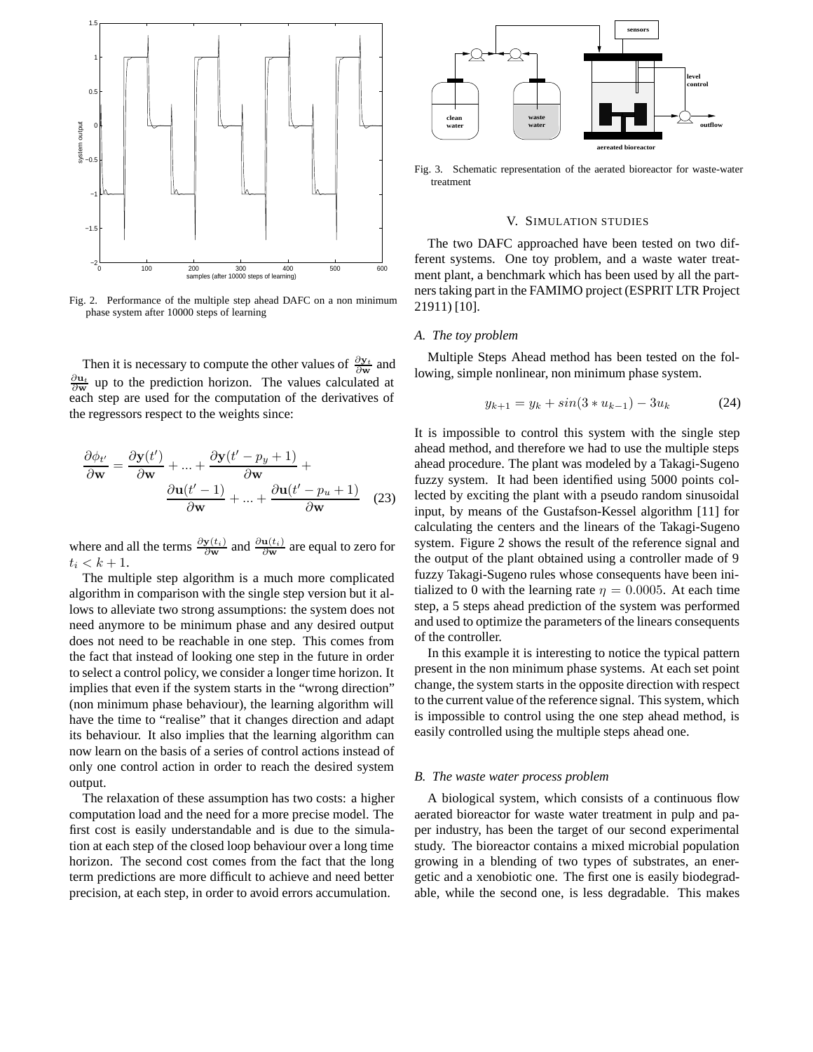

Fig. 2. Performance of the multiple step ahead DAFC on a non minimum phase system after 10000 steps of learning

Then it is necessary to compute the other values of  $\frac{\partial y_t}{\partial w}$  and  $\frac{\partial u_t}{\partial w}$  up to the prediction horizon. The values calculated at each step are used for the computation of the derivatives of the regressors respect to the weights since:

$$
\frac{\partial \phi_{t'}}{\partial \mathbf{w}} = \frac{\partial \mathbf{y}(t')}{\partial \mathbf{w}} + \dots + \frac{\partial \mathbf{y}(t'-p_y+1)}{\partial \mathbf{w}} + \frac{\partial \mathbf{w}(t'-p_y+1)}{\partial \mathbf{w}} + \dots + \frac{\partial \mathbf{u}(t'-p_u+1)}{\partial \mathbf{w}} \quad (23)
$$

where and all the terms  $\frac{\partial y(t_i)}{\partial w}$  and  $\frac{\partial u(t_i)}{\partial w}$  are equal to zero for  $t_i < k + 1.$ 

The multiple step algorithm is a much more complicated algorithm in comparison with the single step version but it allows to alleviate two strong assumptions: the system does not need anymore to be minimum phase and any desired output does not need to be reachable in one step. This comes from the fact that instead of looking one step in the future in order to select a control policy, we consider a longer time horizon. It implies that even if the system starts in the "wrong direction" (non minimum phase behaviour), the learning algorithm will have the time to "realise" that it changes direction and adapt its behaviour. It also implies that the learning algorithm can now learn on the basis of a series of control actions instead of only one control action in order to reach the desired system output.

The relaxation of these assumption has two costs: a higher computation load and the need for a more precise model. The first cost is easily understandable and is due to the simulation at each step of the closed loop behaviour over a long time horizon. The second cost comes from the fact that the long term predictions are more difficult to achieve and need better precision, at each step, in order to avoid errors accumulation.



Fig. 3. Schematic representation of the aerated bioreactor for waste-water treatment

## V. SIMULATION STUDIES

The two DAFC approached have been tested on two different systems. One toy problem, and a waste water treatment plant, a benchmark which has been used by all the partners taking part in the FAMIMO project (ESPRIT LTR Project 21911) [10].

#### *A. The toy problem*

Multiple Steps Ahead method has been tested on the following, simple nonlinear, non minimum phase system.

$$
y_{k+1} = y_k + \sin(3 * u_{k-1}) - 3u_k \tag{24}
$$

It is impossible to control this system with the single step ahead method, and therefore we had to use the multiple steps ahead procedure. The plant was modeled by a Takagi-Sugeno fuzzy system. It had been identified using 5000 points collected by exciting the plant with a pseudo random sinusoidal input, by means of the Gustafson-Kessel algorithm [11] for calculating the centers and the linears of the Takagi-Sugeno system. Figure 2 shows the result of the reference signal and the output of the plant obtained using a controller made of 9 fuzzy Takagi-Sugeno rules whose consequents have been initialized to 0 with the learning rate  $\eta = 0.0005$ . At each time step, a 5 steps ahead prediction of the system was performed and used to optimize the parameters of the linears consequents of the controller.

In this example it is interesting to notice the typical pattern present in the non minimum phase systems. At each set point change, the system starts in the opposite direction with respect to the current value of the reference signal. This system, which is impossible to control using the one step ahead method, is easily controlled using the multiple steps ahead one.

#### *B. The waste water process problem*

A biological system, which consists of a continuous flow aerated bioreactor for waste water treatment in pulp and paper industry, has been the target of our second experimental study. The bioreactor contains a mixed microbial population growing in a blending of two types of substrates, an energetic and a xenobiotic one. The first one is easily biodegradable, while the second one, is less degradable. This makes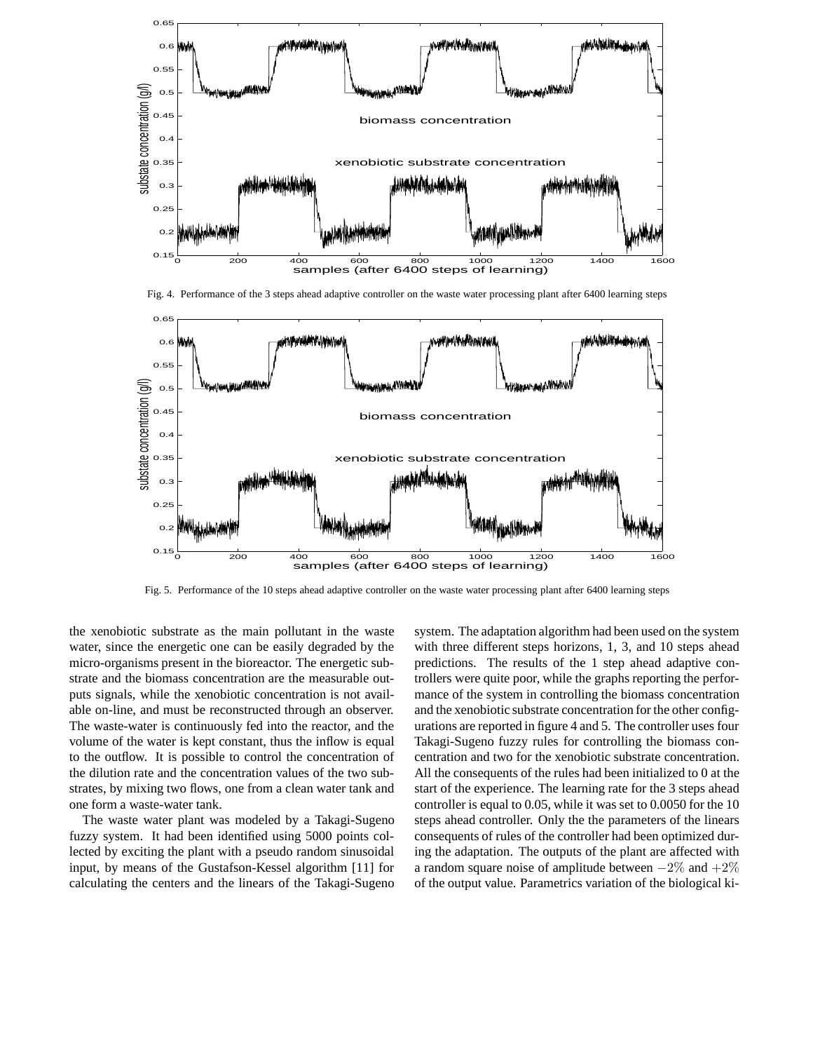

Fig. 4. Performance of the 3 steps ahead adaptive controller on the waste water processing plant after 6400 learning steps



Fig. 5. Performance of the 10 steps ahead adaptive controller on the waste water processing plant after 6400 learning steps

the xenobiotic substrate as the main pollutant in the waste water, since the energetic one can be easily degraded by the micro-organisms present in the bioreactor. The energetic substrate and the biomass concentration are the measurable outputs signals, while the xenobiotic concentration is not available on-line, and must be reconstructed through an observer. The waste-water is continuously fed into the reactor, and the volume of the water is kept constant, thus the inflow is equal to the outflow. It is possible to control the concentration of the dilution rate and the concentration values of the two substrates, by mixing two flows, one from a clean water tank and one form a waste-water tank.

The waste water plant was modeled by a Takagi-Sugeno fuzzy system. It had been identified using 5000 points collected by exciting the plant with a pseudo random sinusoidal input, by means of the Gustafson-Kessel algorithm [11] for calculating the centers and the linears of the Takagi-Sugeno system. The adaptation algorithm had been used on the system with three different steps horizons, 1, 3, and 10 steps ahead predictions. The results of the 1 step ahead adaptive controllers were quite poor, while the graphs reporting the performance of the system in controlling the biomass concentration and the xenobiotic substrate concentration for the other configurations are reported in figure 4 and 5. The controller uses four Takagi-Sugeno fuzzy rules for controlling the biomass concentration and two for the xenobiotic substrate concentration. All the consequents of the rules had been initialized to 0 at the start of the experience. The learning rate for the 3 steps ahead controller is equal to 0.05, while it was set to 0.0050 for the 10 steps ahead controller. Only the the parameters of the linears consequents of rules of the controller had been optimized during the adaptation. The outputs of the plant are affected with a random square noise of amplitude between  $-2\%$  and  $+2\%$ of the output value. Parametrics variation of the biological ki